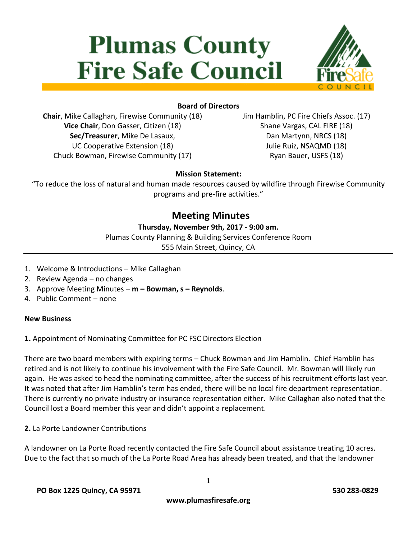# **Plumas County Fire Safe Council**



# **Board of Directors**

**Chair**, Mike Callaghan, Firewise Community (18) **Vice Chair**, Don Gasser, Citizen (18) **Sec/Treasurer**, Mike De Lasaux, UC Cooperative Extension (18) Chuck Bowman, Firewise Community (17)

Jim Hamblin, PC Fire Chiefs Assoc. (17) Shane Vargas, CAL FIRE (18) Dan Martynn, NRCS (18) Julie Ruiz, NSAQMD (18) Ryan Bauer, USFS (18)

# **Mission Statement:**

"To reduce the loss of natural and human made resources caused by wildfire through Firewise Community programs and pre-fire activities."

# **Meeting Minutes**

### **Thursday, November 9th, 2017 - 9:00 am.**

Plumas County Planning & Building Services Conference Room 555 Main Street, Quincy, CA

- 
- 1. Welcome & Introductions Mike Callaghan
- 2. Review Agenda no changes
- 3. Approve Meeting Minutes **m – Bowman, s – Reynolds**.
- 4. Public Comment none

#### **New Business**

**1.** Appointment of Nominating Committee for PC FSC Directors Election

There are two board members with expiring terms – Chuck Bowman and Jim Hamblin. Chief Hamblin has retired and is not likely to continue his involvement with the Fire Safe Council. Mr. Bowman will likely run again. He was asked to head the nominating committee, after the success of his recruitment efforts last year. It was noted that after Jim Hamblin's term has ended, there will be no local fire department representation. There is currently no private industry or insurance representation either. Mike Callaghan also noted that the Council lost a Board member this year and didn't appoint a replacement.

**2.** La Porte Landowner Contributions

A landowner on La Porte Road recently contacted the Fire Safe Council about assistance treating 10 acres. Due to the fact that so much of the La Porte Road Area has already been treated, and that the landowner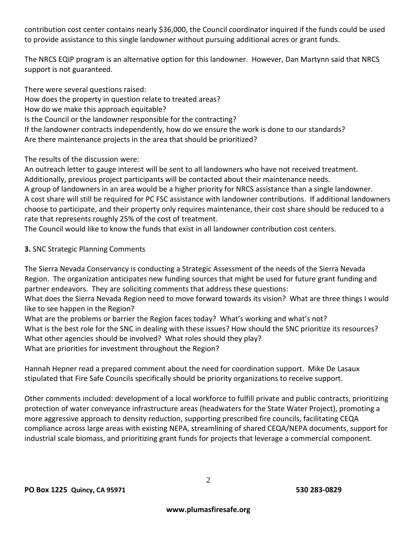contribution cost center contains nearly \$36,000, the Council coordinator inquired if the funds could be used to provide assistance to this single landowner without pursuing additional acres or grant funds.

The NRCS EQIP program is an alternative option for this landowner. However, Dan Martynn said that NRCS support is not guaranteed.

There were several questions raised:

How does the property in question relate to treated areas?

How do we make this approach equitable?

Is the Council or the landowner responsible for the contracting?

If the landowner contracts independently, how do we ensure the work is done to our standards? Are there maintenance projects in the area that should be prioritized?

The results of the discussion were:

An outreach letter to gauge interest will be sent to all landowners who have not received treatment. Additionally, previous project participants will be contacted about their maintenance needs. A group of landowners in an area would be a higher priority for NRCS assistance than a single landowner. A cost share will still be required for PC FSC assistance with landowner contributions. If additional landowners choose to participate, and their property only requires maintenance, their cost share should be reduced to a rate that represents roughly 25% of the cost of treatment.

The Council would like to know the funds that exist in all landowner contribution cost centers.

# **3.** SNC Strategic Planning Comments

The Sierra Nevada Conservancy is conducting a Strategic Assessment of the needs of the Sierra Nevada Region. The organization anticipates new funding sources that might be used for future grant funding and partner endeavors. They are soliciting comments that address these questions:

What does the Sierra Nevada Region need to move forward towards its vision? What are three things I would like to see happen in the Region?

What are the problems or barrier the Region faces today? What's working and what's not? What is the best role for the SNC in dealing with these issues? How should the SNC prioritize its resources? What other agencies should be involved? What roles should they play? What are priorities for investment throughout the Region?

Hannah Hepner read a prepared comment about the need for coordination support. Mike De Lasaux stipulated that Fire Safe Councils specifically should be priority organizations to receive support.

Other comments included: development of a local workforce to fulfill private and public contracts, prioritizing protection of water conveyance infrastructure areas (headwaters for the State Water Project), promoting a more aggressive approach to density reduction, supporting prescribed fire councils, facilitating CEQA compliance across large areas with existing NEPA, streamlining of shared CEQA/NEPA documents, support for industrial scale biomass, and prioritizing grant funds for projects that leverage a commercial component.

2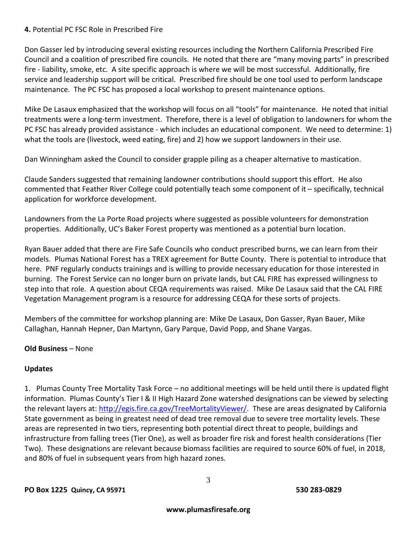#### **4.** Potential PC FSC Role in Prescribed Fire

Don Gasser led by introducing several existing resources including the Northern California Prescribed Fire Council and a coalition of prescribed fire councils. He noted that there are "many moving parts" in prescribed fire - liability, smoke, etc. A site specific approach is where we will be most successful. Additionally, fire service and leadership support will be critical. Prescribed fire should be one tool used to perform landscape maintenance. The PC FSC has proposed a local workshop to present maintenance options.

Mike De Lasaux emphasized that the workshop will focus on all "tools" for maintenance. He noted that initial treatments were a long-term investment. Therefore, there is a level of obligation to landowners for whom the PC FSC has already provided assistance - which includes an educational component. We need to determine: 1) what the tools are (livestock, weed eating, fire) and 2) how we support landowners in their use.

Dan Winningham asked the Council to consider grapple piling as a cheaper alternative to mastication.

Claude Sanders suggested that remaining landowner contributions should support this effort. He also commented that Feather River College could potentially teach some component of it – specifically, technical application for workforce development.

Landowners from the La Porte Road projects where suggested as possible volunteers for demonstration properties. Additionally, UC's Baker Forest property was mentioned as a potential burn location.

Ryan Bauer added that there are Fire Safe Councils who conduct prescribed burns, we can learn from their models. Plumas National Forest has a TREX agreement for Butte County. There is potential to introduce that here. PNF regularly conducts trainings and is willing to provide necessary education for those interested in burning. The Forest Service can no longer burn on private lands, but CAL FIRE has expressed willingness to step into that role. A question about CEQA requirements was raised. Mike De Lasaux said that the CAL FIRE Vegetation Management program is a resource for addressing CEQA for these sorts of projects.

Members of the committee for workshop planning are: Mike De Lasaux, Don Gasser, Ryan Bauer, Mike Callaghan, Hannah Hepner, Dan Martynn, Gary Parque, David Popp, and Shane Vargas.

#### **Old Business** – None

#### **Updates**

1. Plumas County Tree Mortality Task Force – no additional meetings will be held until there is updated flight information. Plumas County's Tier I & II High Hazard Zone watershed designations can be viewed by selecting the relevant layers at: [http://egis.fire.ca.gov/TreeMortalityViewer/.](http://egis.fire.ca.gov/TreeMortalityViewer/) These are areas designated by California State government as being in greatest need of dead tree removal due to severe tree mortality levels. These areas are represented in two tiers, representing both potential direct threat to people, buildings and infrastructure from falling trees (Tier One), as well as broader fire risk and forest health considerations (Tier Two). These designations are relevant because biomass facilities are required to source 60% of fuel, in 2018, and 80% of fuel in subsequent years from high hazard zones.

3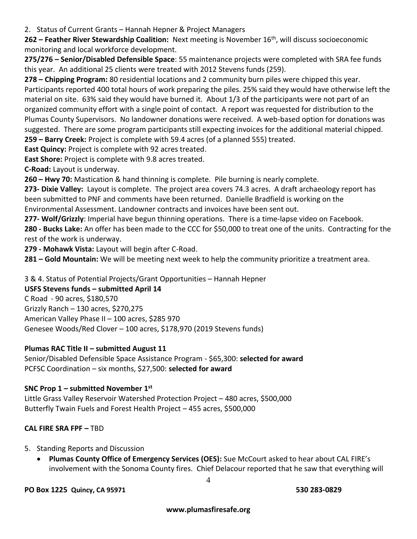2. Status of Current Grants – Hannah Hepner & Project Managers

**262 – Feather River Stewardship Coalition:** Next meeting is November 16th, will discuss socioeconomic monitoring and local workforce development.

**275/276 – Senior/Disabled Defensible Space**: 55 maintenance projects were completed with SRA fee funds this year. An additional 25 clients were treated with 2012 Stevens funds (259).

**278 – Chipping Program:** 80 residential locations and 2 community burn piles were chipped this year. Participants reported 400 total hours of work preparing the piles. 25% said they would have otherwise left the material on site. 63% said they would have burned it. About 1/3 of the participants were not part of an organized community effort with a single point of contact. A report was requested for distribution to the Plumas County Supervisors. No landowner donations were received. A web-based option for donations was suggested. There are some program participants still expecting invoices for the additional material chipped. **259 – Barry Creek:** Project is complete with 59.4 acres (of a planned 555) treated.

**East Quincy:** Project is complete with 92 acres treated.

**East Shore:** Project is complete with 9.8 acres treated.

**C-Road:** Layout is underway.

**260 – Hwy 70:** Mastication & hand thinning is complete. Pile burning is nearly complete.

**273- Dixie Valley:** Layout is complete. The project area covers 74.3 acres. A draft archaeology report has been submitted to PNF and comments have been returned. Danielle Bradfield is working on the Environmental Assessment. Landowner contracts and invoices have been sent out.

**277- Wolf/Grizzly**: Imperial have begun thinning operations. There is a time-lapse video on Facebook.

**280 - Bucks Lake:** An offer has been made to the CCC for \$50,000 to treat one of the units. Contracting for the rest of the work is underway.

**279 - Mohawk Vista:** Layout will begin after C-Road.

**281 – Gold Mountain:** We will be meeting next week to help the community prioritize a treatment area.

3 & 4. Status of Potential Projects/Grant Opportunities – Hannah Hepner

# **USFS Stevens funds – submitted April 14**

C Road - 90 acres, \$180,570 Grizzly Ranch – 130 acres, \$270,275 American Valley Phase II – 100 acres, \$285 970 Genesee Woods/Red Clover – 100 acres, \$178,970 (2019 Stevens funds)

# **Plumas RAC Title II – submitted August 11**

Senior/Disabled Defensible Space Assistance Program - \$65,300: **selected for award** PCFSC Coordination – six months, \$27,500: **selected for award**

# **SNC Prop 1 – submitted November 1 st**

Little Grass Valley Reservoir Watershed Protection Project – 480 acres, \$500,000 Butterfly Twain Fuels and Forest Health Project – 455 acres, \$500,000

# **CAL FIRE SRA FPF –** TBD

- 5. Standing Reports and Discussion
	- **Plumas County Office of Emergency Services (OES):** Sue McCourt asked to hear about CAL FIRE's involvement with the Sonoma County fires. Chief Delacour reported that he saw that everything will

4